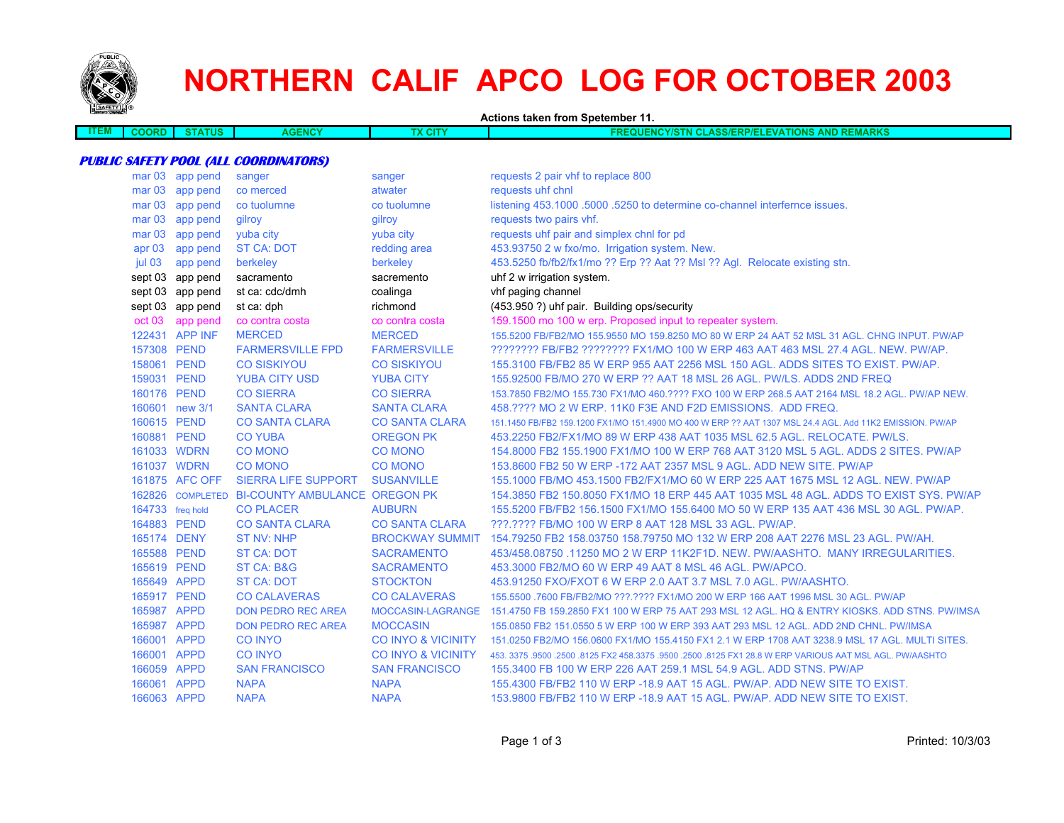

# **NORTHERN CALIF APCO LOG FOR OCTOBER 2003**

**Actions taken from Spetember 11.**

| =M. | COORD | <b>THE</b><br>uo | <b>GENCY</b> | <b>STATISTICS</b><br>w | <b>FRANCISCO</b><br>TIONS<br>NOVIE.<br>AND<br><b>ASS/FI</b><br>P/E<br>50 A.<br><b>REMARK</b><br>.<br>. |
|-----|-------|------------------|--------------|------------------------|--------------------------------------------------------------------------------------------------------|
|     |       |                  |              |                        |                                                                                                        |

### **PUBLIC SAFETY POOL (ALL COORDINATORS)**

|                   | mar 03 app pend  | sanger                               | sanger                        | requests 2 pair vhf to replace 800                                                                        |
|-------------------|------------------|--------------------------------------|-------------------------------|-----------------------------------------------------------------------------------------------------------|
| mar <sub>03</sub> | app pend         | co merced                            | atwater                       | requests uhf chnl                                                                                         |
| mar <sub>03</sub> | app pend         | co tuolumne                          | co tuolumne                   | listening 453.1000 .5000 .5250 to determine co-channel interfernce issues.                                |
| mar <sub>03</sub> | app pend         | gilroy                               | gilroy                        | requests two pairs vhf.                                                                                   |
| mar <sub>03</sub> | app pend         | yuba city                            | vuba city                     | requests uhf pair and simplex chnl for pd                                                                 |
| apr <sub>03</sub> | app pend         | <b>ST CA: DOT</b>                    | redding area                  | 453.93750 2 w fxo/mo. Irrigation system. New.                                                             |
| jul 03            | app pend         | berkeley                             | berkeley                      | 453.5250 fb/fb2/fx1/mo ?? Erp ?? Aat ?? Msl ?? Agl. Relocate existing stn.                                |
|                   | sept 03 app pend | sacramento                           | sacremento                    | uhf 2 w irrigation system.                                                                                |
|                   | sept 03 app pend | st ca: cdc/dmh                       | coalinga                      | vhf paging channel                                                                                        |
|                   | sept 03 app pend | st ca: dph                           | richmond                      | (453.950 ?) uhf pair. Building ops/security                                                               |
| oct 03            | app pend         | co contra costa                      | co contra costa               | 159.1500 mo 100 w erp. Proposed input to repeater system.                                                 |
|                   | 122431 APP INF   | <b>MERCED</b>                        | <b>MERCED</b>                 | 155.5200 FB/FB2/MO 155.9550 MO 159.8250 MO 80 W ERP 24 AAT 52 MSL 31 AGL. CHNG INPUT. PW/AP               |
| 157308 PEND       |                  | <b>FARMERSVILLE FPD</b>              | <b>FARMERSVILLE</b>           | ???????? FB/FB2 ???????? FX1/MO 100 W ERP 463 AAT 463 MSL 27.4 AGL. NEW. PW/AP.                           |
| 158061 PEND       |                  | <b>CO SISKIYOU</b>                   | <b>CO SISKIYOU</b>            | 155.3100 FB/FB2 85 W ERP 955 AAT 2256 MSL 150 AGL. ADDS SITES TO EXIST. PW/AP.                            |
| 159031 PEND       |                  | <b>YUBA CITY USD</b>                 | <b>YUBA CITY</b>              | 155,92500 FB/MO 270 W ERP ?? AAT 18 MSL 26 AGL, PW/LS, ADDS 2ND FREQ                                      |
| 160176 PEND       |                  | <b>CO SIERRA</b>                     | <b>CO SIERRA</b>              | 153.7850 FB2/MO 155.730 FX1/MO 460.???? FXO 100 W ERP 268.5 AAT 2164 MSL 18.2 AGL. PW/AP NEW.             |
|                   | 160601 new 3/1   | <b>SANTA CLARA</b>                   | <b>SANTA CLARA</b>            | 458.???? MO 2 W ERP. 11K0 F3E AND F2D EMISSIONS. ADD FREQ.                                                |
| 160615 PEND       |                  | <b>CO SANTA CLARA</b>                | <b>CO SANTA CLARA</b>         | 151.1450 FB/FB2 159.1200 FX1/MO 151.4900 MO 400 W ERP ?? AAT 1307 MSL 24.4 AGL, Add 11K2 EMISSION, PW/AP  |
| 160881 PEND       |                  | <b>CO YUBA</b>                       | <b>OREGON PK</b>              | 453.2250 FB2/FX1/MO 89 W ERP 438 AAT 1035 MSL 62.5 AGL. RELOCATE. PW/LS.                                  |
| 161033 WDRN       |                  | <b>CO MONO</b>                       | <b>CO MONO</b>                | 154,8000 FB2 155,1900 FX1/MO 100 W ERP 768 AAT 3120 MSL 5 AGL, ADDS 2 SITES, PW/AP                        |
| 161037 WDRN       |                  | <b>CO MONO</b>                       | <b>CO MONO</b>                | 153,8600 FB2 50 W ERP -172 AAT 2357 MSL 9 AGL, ADD NEW SITE, PW/AP                                        |
|                   | 161875 AFC OFF   | <b>SIERRA LIFE SUPPORT</b>           | <b>SUSANVILLE</b>             | 155.1000 FB/MO 453.1500 FB2/FX1/MO 60 W ERP 225 AAT 1675 MSL 12 AGL. NEW. PW/AP                           |
|                   | 162826 COMPLETED | <b>BI-COUNTY AMBULANCE OREGON PK</b> |                               | 154,3850 FB2 150,8050 FX1/MO 18 ERP 445 AAT 1035 MSL 48 AGL. ADDS TO EXIST SYS, PW/AP                     |
| 164733 freq hold  |                  | <b>CO PLACER</b>                     | <b>AUBURN</b>                 | 155.5200 FB/FB2 156.1500 FX1/MO 155.6400 MO 50 W ERP 135 AAT 436 MSL 30 AGL. PW/AP.                       |
| 164883 PEND       |                  | <b>CO SANTA CLARA</b>                | <b>CO SANTA CLARA</b>         | ???.???? FB/MO 100 W ERP 8 AAT 128 MSL 33 AGL, PW/AP.                                                     |
| 165174 DENY       |                  | <b>ST NV: NHP</b>                    | <b>BROCKWAY SUMMIT</b>        | 154.79250 FB2 158.03750 158.79750 MO 132 W ERP 208 AAT 2276 MSL 23 AGL, PW/AH.                            |
| 165588 PEND       |                  | <b>ST CA: DOT</b>                    | <b>SACRAMENTO</b>             | 453/458.08750 .11250 MO 2 W ERP 11K2F1D. NEW. PW/AASHTO. MANY IRREGULARITIES.                             |
| 165619 PEND       |                  | ST CA: B&G                           | <b>SACRAMENTO</b>             | 453,3000 FB2/MO 60 W ERP 49 AAT 8 MSL 46 AGL, PW/APCO.                                                    |
| 165649 APPD       |                  | <b>ST CA: DOT</b>                    | <b>STOCKTON</b>               | 453.91250 FXO/FXOT 6 W ERP 2.0 AAT 3.7 MSL 7.0 AGL, PW/AASHTO.                                            |
| 165917 PEND       |                  | <b>CO CALAVERAS</b>                  | <b>CO CALAVERAS</b>           | 155.5500 .7600 FB/FB2/MO ???.???? FX1/MO 200 W ERP 166 AAT 1996 MSL 30 AGL. PW/AP                         |
| 165987 APPD       |                  | <b>DON PEDRO REC AREA</b>            | MOCCASIN-LAGRANGE             | 151.4750 FB 159.2850 FX1 100 W ERP 75 AAT 293 MSL 12 AGL. HQ & ENTRY KIOSKS. ADD STNS. PW/IMSA            |
| 165987 APPD       |                  | <b>DON PEDRO REC AREA</b>            | <b>MOCCASIN</b>               | 155.0850 FB2 151.0550 5 W ERP 100 W ERP 393 AAT 293 MSL 12 AGL. ADD 2ND CHNL. PW/IMSA                     |
| 166001 APPD       |                  | <b>CO INYO</b>                       | <b>CO INYO &amp; VICINITY</b> | 151.0250 FB2/MO 156.0600 FX1/MO 155.4150 FX1 2.1 W ERP 1708 AAT 3238.9 MSL 17 AGL. MULTI SITES.           |
| 166001 APPD       |                  | <b>CO INYO</b>                       | <b>CO INYO &amp; VICINITY</b> | 453, 3375, 9500, 2500, 8125 FX2 458, 3375, 9500, 2500, 8125 FX1 28.8 W ERP VARIOUS AAT MSL AGL, PW/AASHTO |
| 166059 APPD       |                  | <b>SAN FRANCISCO</b>                 | <b>SAN FRANCISCO</b>          | 155.3400 FB 100 W ERP 226 AAT 259.1 MSL 54.9 AGL. ADD STNS. PW/AP                                         |
| 166061            | <b>APPD</b>      | <b>NAPA</b>                          | <b>NAPA</b>                   | 155.4300 FB/FB2 110 W ERP -18.9 AAT 15 AGL. PW/AP. ADD NEW SITE TO EXIST.                                 |
| 166063 APPD       |                  | <b>NAPA</b>                          | <b>NAPA</b>                   | 153.9800 FB/FB2 110 W ERP -18.9 AAT 15 AGL. PW/AP. ADD NEW SITE TO EXIST.                                 |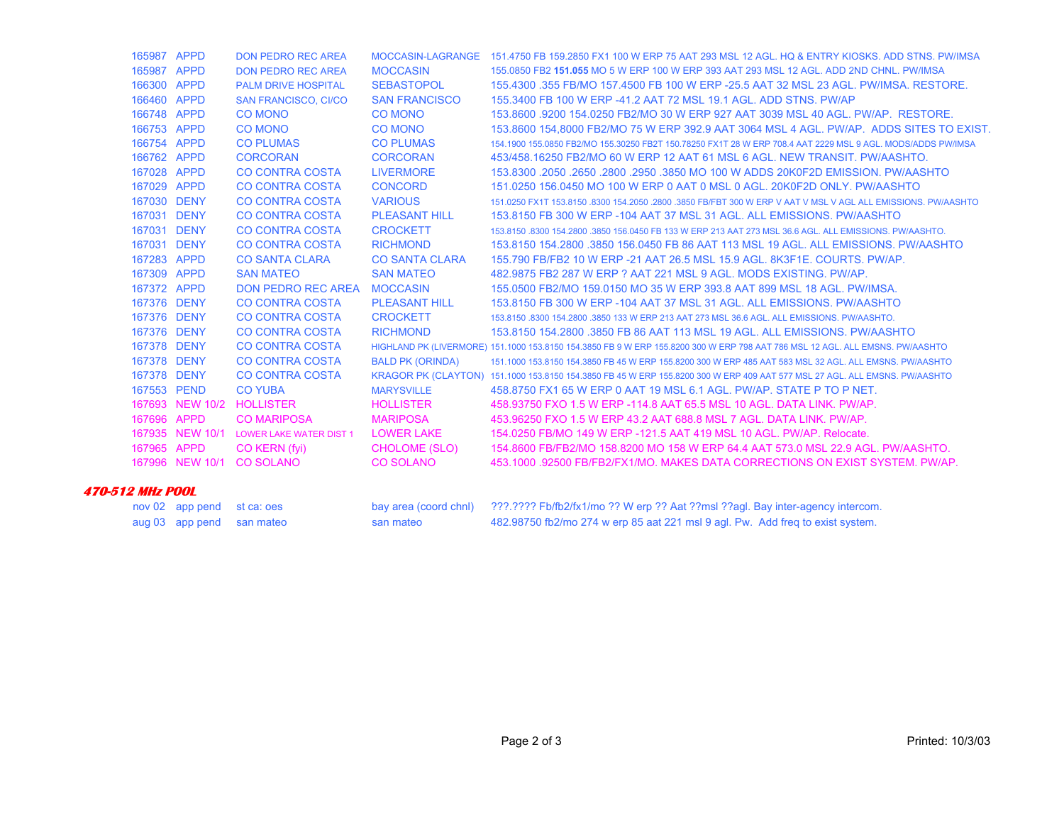| 165987 APPD |                 | <b>DON PEDRO REC AREA</b>      |                         | MOCCASIN-LAGRANGE 151.4750 FB 159.2850 FX1 100 W ERP 75 AAT 293 MSL 12 AGL. HQ & ENTRY KIOSKS. ADD STNS. PW/IMSA              |
|-------------|-----------------|--------------------------------|-------------------------|-------------------------------------------------------------------------------------------------------------------------------|
| 165987 APPD |                 | <b>DON PEDRO REC AREA</b>      | <b>MOCCASIN</b>         | 155,0850 FB2 151,055 MO 5 W ERP 100 W ERP 393 AAT 293 MSL 12 AGL. ADD 2ND CHNL, PW/IMSA                                       |
| 166300 APPD |                 | <b>PALM DRIVE HOSPITAL</b>     | <b>SEBASTOPOL</b>       | 155,4300 .355 FB/MO 157,4500 FB 100 W ERP -25.5 AAT 32 MSL 23 AGL. PW/IMSA, RESTORE.                                          |
| 166460 APPD |                 | <b>SAN FRANCISCO, CI/CO</b>    | <b>SAN FRANCISCO</b>    | 155,3400 FB 100 W ERP -41.2 AAT 72 MSL 19.1 AGL, ADD STNS, PW/AP                                                              |
| 166748 APPD |                 | <b>CO MONO</b>                 | <b>CO MONO</b>          | 153,8600,9200 154,0250 FB2/MO 30 W ERP 927 AAT 3039 MSL 40 AGL, PW/AP, RESTORE.                                               |
| 166753 APPD |                 | <b>CO MONO</b>                 | <b>CO MONO</b>          | 153.8600 154,8000 FB2/MO 75 W ERP 392.9 AAT 3064 MSL 4 AGL. PW/AP. ADDS SITES TO EXIST.                                       |
| 166754 APPD |                 | <b>CO PLUMAS</b>               | <b>CO PLUMAS</b>        | 154.1900 155.0850 FB2/MO 155.30250 FB2T 150.78250 FX1T 28 W ERP 708.4 AAT 2229 MSL 9 AGL. MODS/ADDS PW/IMSA                   |
| 166762 APPD |                 | <b>CORCORAN</b>                | <b>CORCORAN</b>         | 453/458,16250 FB2/MO 60 W ERP 12 AAT 61 MSL 6 AGL, NEW TRANSIT, PW/AASHTO,                                                    |
| 167028 APPD |                 | <b>CO CONTRA COSTA</b>         | <b>LIVERMORE</b>        | 153.8300 .2050 .2650 .2800 .2950 .3850 MO 100 W ADDS 20K0F2D EMISSION. PW/AASHTO                                              |
| 167029 APPD |                 | <b>CO CONTRA COSTA</b>         | <b>CONCORD</b>          | 151,0250 156,0450 MO 100 W ERP 0 AAT 0 MSL 0 AGL, 20K0F2D ONLY, PW/AASHTO                                                     |
| 167030      | <b>DENY</b>     | CO CONTRA COSTA                | <b>VARIOUS</b>          | 151.0250 FX1T 153.8150 .8300 154.2050 .2800 .3850 FB/FBT 300 W ERP V AAT V MSL V AGL ALL EMISSIONS, PW/AASHTO                 |
| 167031 DENY |                 | <b>CO CONTRA COSTA</b>         | <b>PLEASANT HILL</b>    | 153,8150 FB 300 W ERP -104 AAT 37 MSL 31 AGL, ALL EMISSIONS, PW/AASHTO                                                        |
| 167031      | <b>DENY</b>     | <b>CO CONTRA COSTA</b>         | <b>CROCKETT</b>         | 153,8150,8300 154,2800,3850 156,0450 FB 133 W ERP 213 AAT 273 MSL 36.6 AGL, ALL EMISSIONS, PW/AASHTO,                         |
| 167031 DENY |                 | <b>CO CONTRA COSTA</b>         | <b>RICHMOND</b>         | 153.8150 154.2800 .3850 156.0450 FB 86 AAT 113 MSL 19 AGL, ALL EMISSIONS, PW/AASHTO                                           |
| 167283 APPD |                 | <b>CO SANTA CLARA</b>          | <b>CO SANTA CLARA</b>   | 155.790 FB/FB2 10 W ERP -21 AAT 26.5 MSL 15.9 AGL, 8K3F1E, COURTS, PW/AP.                                                     |
| 167309 APPD |                 | <b>SAN MATEO</b>               | <b>SAN MATEO</b>        | 482.9875 FB2 287 W ERP ? AAT 221 MSL 9 AGL. MODS EXISTING, PW/AP.                                                             |
| 167372 APPD |                 | DON PEDRO REC AREA MOCCASIN    |                         | 155,0500 FB2/MO 159,0150 MO 35 W ERP 393.8 AAT 899 MSL 18 AGL, PW/IMSA.                                                       |
| 167376 DENY |                 | CO CONTRA COSTA                | <b>PLEASANT HILL</b>    | 153,8150 FB 300 W ERP -104 AAT 37 MSL 31 AGL, ALL EMISSIONS, PW/AASHTO                                                        |
| 167376 DENY |                 | <b>CO CONTRA COSTA</b>         | <b>CROCKETT</b>         | 153,8150,8300 154,2800,3850 133 W ERP 213 AAT 273 MSL 36.6 AGL, ALL EMISSIONS, PW/AASHTO,                                     |
| 167376 DENY |                 | <b>CO CONTRA COSTA</b>         | <b>RICHMOND</b>         | 153.8150 154.2800 .3850 FB 86 AAT 113 MSL 19 AGL. ALL EMISSIONS, PW/AASHTO                                                    |
| 167378 DENY |                 | <b>CO CONTRA COSTA</b>         |                         | HIGHLAND PK (LIVERMORE) 151.1000 153.8150 154.3850 FB 9 W ERP 155.8200 300 W ERP 798 AAT 786 MSL 12 AGL. ALL EMSNS. PW/AASHTO |
| 167378 DENY |                 | <b>CO CONTRA COSTA</b>         | <b>BALD PK (ORINDA)</b> | 151,1000 153,8150 154,3850 FB 45 W ERP 155,8200 300 W ERP 485 AAT 583 MSL 32 AGL, ALL EMSNS, PW/AASHTO                        |
| 167378 DENY |                 | <b>CO CONTRA COSTA</b>         |                         | KRAGOR PK (CLAYTON) 151.1000 153.8150 154.3850 FB 45 W ERP 155.8200 300 W ERP 409 AAT 577 MSL 27 AGL. ALL EMSNS. PW/AASHTO    |
| 167553 PEND |                 | <b>CO YUBA</b>                 | <b>MARYSVILLE</b>       | 458,8750 FX1 65 W ERP 0 AAT 19 MSL 6.1 AGL, PW/AP, STATE P TO P NET.                                                          |
|             | 167693 NEW 10/2 | <b>HOLLISTER</b>               | <b>HOLLISTER</b>        | 458,93750 FXO 1.5 W ERP -114.8 AAT 65.5 MSL 10 AGL, DATA LINK, PW/AP.                                                         |
| 167696 APPD |                 | <b>CO MARIPOSA</b>             | <b>MARIPOSA</b>         | 453,96250 FXO 1.5 W ERP 43.2 AAT 688.8 MSL 7 AGL, DATA LINK, PW/AP.                                                           |
|             | 167935 NEW 10/1 | <b>LOWER LAKE WATER DIST 1</b> | <b>LOWER LAKE</b>       | 154,0250 FB/MO 149 W ERP -121.5 AAT 419 MSL 10 AGL, PW/AP, Relocate.                                                          |
| 167965      | <b>APPD</b>     | CO KERN (fyi)                  | <b>CHOLOME (SLO)</b>    | 154,8600 FB/FB2/MO 158,8200 MO 158 W ERP 64.4 AAT 573.0 MSL 22.9 AGL, PW/AASHTO,                                              |
|             | 167996 NEW 10/1 | <b>CO SOLANO</b>               | <b>CO SOLANO</b>        | 453,1000 92500 FB/FB2/FX1/MO, MAKES DATA CORRECTIONS ON EXIST SYSTEM, PW/AP,                                                  |
|             |                 |                                |                         |                                                                                                                               |

#### **470-512 MHz POOL**

| nov 02 app pend st ca: oes |                           |           | bay area (coord chnl) ???.???? Fb/fb2/fx1/mo ?? W erp ?? Aat ??msl ??agl. Bay inter-agency intercom. |
|----------------------------|---------------------------|-----------|------------------------------------------------------------------------------------------------------|
|                            | aug 03 app pend san mateo | san mateo | 482.98750 fb2/mo 274 w erp 85 aat 221 msl 9 agl. Pw. Add freq to exist system.                       |